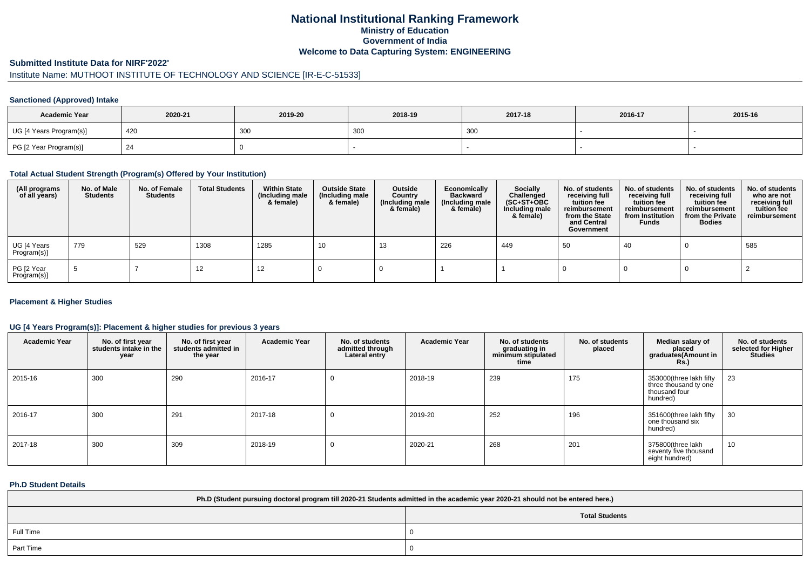## **National Institutional Ranking FrameworkMinistry of Education Government of IndiaWelcome to Data Capturing System: ENGINEERING**

### **Submitted Institute Data for NIRF'2022'**

# Institute Name: MUTHOOT INSTITUTE OF TECHNOLOGY AND SCIENCE [IR-E-C-51533]

### **Sanctioned (Approved) Intake**

| <b>Academic Year</b>    | 2020-21 | 2019-20 | 2018-19 | 2017-18 | 2016-17 | 2015-16 |
|-------------------------|---------|---------|---------|---------|---------|---------|
| UG [4 Years Program(s)] | 420     | 300     | 300     | 300     |         |         |
| PG [2 Year Program(s)]  |         |         |         |         |         |         |

### **Total Actual Student Strength (Program(s) Offered by Your Institution)**

| (All programs<br>of all years) | No. of Male<br><b>Students</b> | No. of Female<br>Students | <b>Total Students</b> | <b>Within State</b><br>(Including male<br>& female) | <b>Outside State</b><br>(Including male<br>& female) | Outside<br>Country<br>(Including male<br>& female) | Economically<br><b>Backward</b><br>(Including male<br>& female) | <b>Socially</b><br>Challenged<br>$(SC+ST+OBC)$<br>Including male<br>& female) | No. of students<br>receiving full<br>tuition fee<br>reimbursement<br>from the State<br>and Central<br>Government | No. of students<br>receiving full<br>tuition fee<br>reimbursement<br>from Institution<br><b>Funds</b> | No. of students<br>receiving full<br>tuition fee<br>reimbursement<br>from the Private<br><b>Bodies</b> | No. of students<br>who are not<br>receiving full<br>tuition fee<br>reimbursement |
|--------------------------------|--------------------------------|---------------------------|-----------------------|-----------------------------------------------------|------------------------------------------------------|----------------------------------------------------|-----------------------------------------------------------------|-------------------------------------------------------------------------------|------------------------------------------------------------------------------------------------------------------|-------------------------------------------------------------------------------------------------------|--------------------------------------------------------------------------------------------------------|----------------------------------------------------------------------------------|
| UG [4 Years<br>Program(s)]     | 779                            | 529                       | 1308                  | 1285                                                | 10                                                   | 13                                                 | 226                                                             | 449                                                                           | 50                                                                                                               | 40                                                                                                    |                                                                                                        | 585                                                                              |
| PG [2 Year<br>Program(s)]      |                                |                           | 12                    | 12                                                  |                                                      |                                                    |                                                                 |                                                                               |                                                                                                                  |                                                                                                       |                                                                                                        |                                                                                  |

### **Placement & Higher Studies**

### **UG [4 Years Program(s)]: Placement & higher studies for previous 3 years**

| <b>Academic Year</b> | No. of first year<br>students intake in the<br>year | No. of first year<br>students admitted in<br>the year | <b>Academic Year</b> | No. of students<br>admitted through<br>Lateral entry | <b>Academic Year</b> | No. of students<br>graduating in<br>minimum stipulated<br>time | No. of students<br>placed | Median salary of<br>placed<br>graduates(Amount in<br><b>Rs.)</b>              | No. of students<br>selected for Higher<br><b>Studies</b> |
|----------------------|-----------------------------------------------------|-------------------------------------------------------|----------------------|------------------------------------------------------|----------------------|----------------------------------------------------------------|---------------------------|-------------------------------------------------------------------------------|----------------------------------------------------------|
| 2015-16              | 300                                                 | 290                                                   | 2016-17              |                                                      | 2018-19              | 239                                                            | 175                       | 353000(three lakh fifty<br>three thousand ty one<br>thousand four<br>hundred) | 23                                                       |
| 2016-17              | 300                                                 | 291                                                   | 2017-18              |                                                      | 2019-20              | 252                                                            | 196                       | 351600(three lakh fifty<br>one thousand six<br>hundred)                       | 30                                                       |
| 2017-18              | 300                                                 | 309                                                   | 2018-19              |                                                      | 2020-21              | 268                                                            | 201                       | 375800(three lakh<br>seventy five thousand<br>eight hundred)                  | 10                                                       |

#### **Ph.D Student Details**

| Ph.D (Student pursuing doctoral program till 2020-21 Students admitted in the academic year 2020-21 should not be entered here.) |                       |  |  |  |  |  |
|----------------------------------------------------------------------------------------------------------------------------------|-----------------------|--|--|--|--|--|
|                                                                                                                                  | <b>Total Students</b> |  |  |  |  |  |
| <b>Full Time</b>                                                                                                                 |                       |  |  |  |  |  |
| Part Time                                                                                                                        |                       |  |  |  |  |  |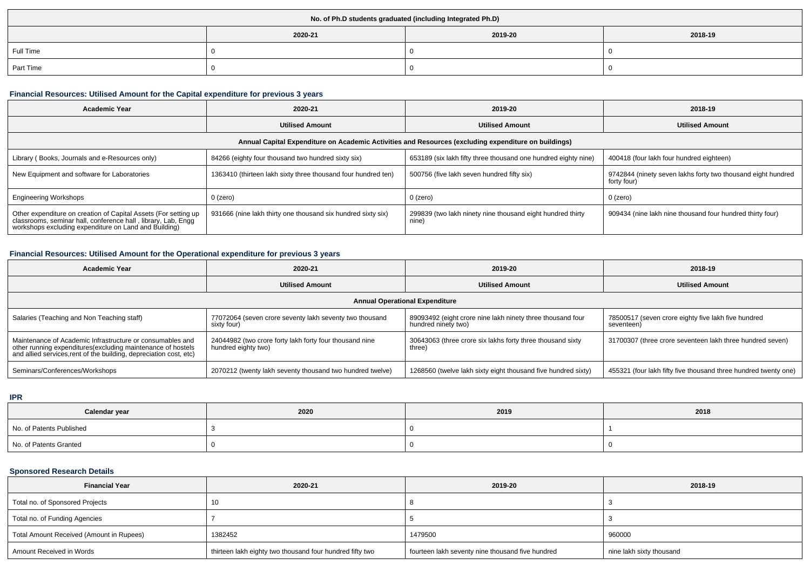| No. of Ph.D students graduated (including Integrated Ph.D) |         |         |         |  |  |  |  |  |
|------------------------------------------------------------|---------|---------|---------|--|--|--|--|--|
|                                                            | 2020-21 | 2019-20 | 2018-19 |  |  |  |  |  |
| Full Time                                                  |         |         |         |  |  |  |  |  |
| Part Time                                                  |         |         |         |  |  |  |  |  |

## **Financial Resources: Utilised Amount for the Capital expenditure for previous 3 years**

| <b>Academic Year</b>                                                                                                                                                                      | 2020-21                                                       | 2019-20                                                             | 2018-19                                                                     |  |  |  |  |  |
|-------------------------------------------------------------------------------------------------------------------------------------------------------------------------------------------|---------------------------------------------------------------|---------------------------------------------------------------------|-----------------------------------------------------------------------------|--|--|--|--|--|
|                                                                                                                                                                                           | <b>Utilised Amount</b>                                        | <b>Utilised Amount</b>                                              | <b>Utilised Amount</b>                                                      |  |  |  |  |  |
| Annual Capital Expenditure on Academic Activities and Resources (excluding expenditure on buildings)                                                                                      |                                                               |                                                                     |                                                                             |  |  |  |  |  |
| Library (Books, Journals and e-Resources only)                                                                                                                                            | 84266 (eighty four thousand two hundred sixty six)            | 653189 (six lakh fifty three thousand one hundred eighty nine)      | 400418 (four lakh four hundred eighteen)                                    |  |  |  |  |  |
| New Equipment and software for Laboratories                                                                                                                                               | 1363410 (thirteen lakh sixty three thousand four hundred ten) | 500756 (five lakh seven hundred fifty six)                          | 9742844 (ninety seven lakhs forty two thousand eight hundred<br>forty four) |  |  |  |  |  |
| <b>Engineering Workshops</b>                                                                                                                                                              | $0$ (zero)                                                    | 0 (zero)                                                            | 0 (zero)                                                                    |  |  |  |  |  |
| Other expenditure on creation of Capital Assets (For setting up<br>classrooms, seminar hall, conference hall, library, Lab, Engg<br>workshops excluding expenditure on Land and Building) | 931666 (nine lakh thirty one thousand six hundred sixty six)  | 299839 (two lakh ninety nine thousand eight hundred thirty<br>nine) | 909434 (nine lakh nine thousand four hundred thirty four)                   |  |  |  |  |  |

## **Financial Resources: Utilised Amount for the Operational expenditure for previous 3 years**

| <b>Academic Year</b>                                                                                                                                                                            | 2020-21                                                                        | 2019-20                                                                           | 2018-19                                                           |  |  |  |  |  |
|-------------------------------------------------------------------------------------------------------------------------------------------------------------------------------------------------|--------------------------------------------------------------------------------|-----------------------------------------------------------------------------------|-------------------------------------------------------------------|--|--|--|--|--|
|                                                                                                                                                                                                 | <b>Utilised Amount</b>                                                         | <b>Utilised Amount</b>                                                            | <b>Utilised Amount</b>                                            |  |  |  |  |  |
| <b>Annual Operational Expenditure</b>                                                                                                                                                           |                                                                                |                                                                                   |                                                                   |  |  |  |  |  |
| Salaries (Teaching and Non Teaching staff)                                                                                                                                                      | 77072064 (seven crore seventy lakh seventy two thousand<br>sixty four)         | 89093492 (eight crore nine lakh ninety three thousand four<br>hundred ninety two) | 78500517 (seven crore eighty five lakh five hundred<br>seventeen) |  |  |  |  |  |
| Maintenance of Academic Infrastructure or consumables and<br>other running expenditures (excluding maintenance of hostels<br>and allied services, rent of the building, depreciation cost, etc) | 24044982 (two crore forty lakh forty four thousand nine<br>hundred eighty two) | 30643063 (three crore six lakhs forty three thousand sixty<br>three)              | 31700307 (three crore seventeen lakh three hundred seven)         |  |  |  |  |  |
| Seminars/Conferences/Workshops                                                                                                                                                                  | 2070212 (twenty lakh seventy thousand two hundred twelve)                      | 1268560 (twelve lakh sixty eight thousand five hundred sixty)                     | 455321 (four lakh fifty five thousand three hundred twenty one)   |  |  |  |  |  |

**IPR**

| Calendar year            | 2020 | 2019 | 2018 |
|--------------------------|------|------|------|
| No. of Patents Published |      |      |      |
| No. of Patents Granted   |      |      |      |

# **Sponsored Research Details**

| <b>Financial Year</b>                    | 2020-21                                                  | 2019-20                                          | 2018-19                  |
|------------------------------------------|----------------------------------------------------------|--------------------------------------------------|--------------------------|
| Total no. of Sponsored Projects          |                                                          |                                                  |                          |
| Total no. of Funding Agencies            |                                                          |                                                  |                          |
| Total Amount Received (Amount in Rupees) | 1382452                                                  | 1479500                                          | 960000                   |
| Amount Received in Words                 | thirteen lakh eighty two thousand four hundred fifty two | fourteen lakh seventy nine thousand five hundred | nine lakh sixty thousand |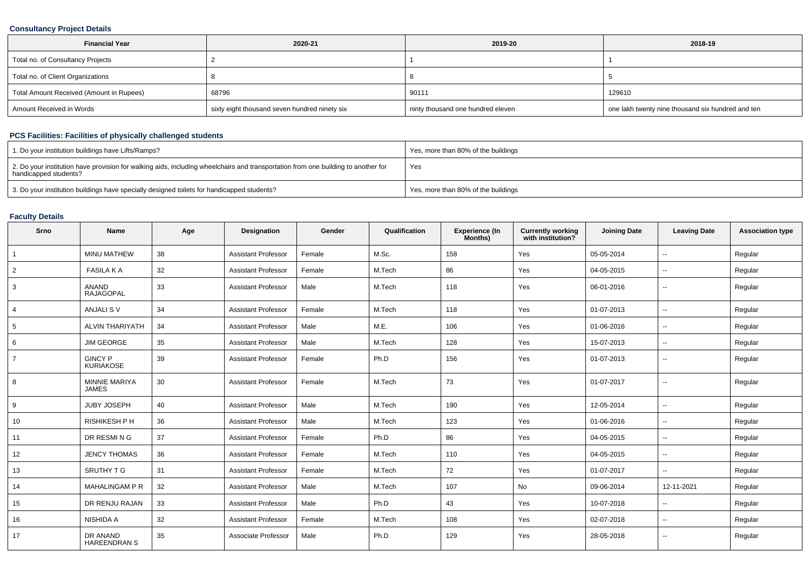## **Consultancy Project Details**

| <b>Financial Year</b>                    | 2020-21                                       | 2019-20                           | 2018-19                                           |
|------------------------------------------|-----------------------------------------------|-----------------------------------|---------------------------------------------------|
| Total no. of Consultancy Projects        |                                               |                                   |                                                   |
| Total no. of Client Organizations        |                                               |                                   |                                                   |
| Total Amount Received (Amount in Rupees) | 68796                                         | 90111                             | 129610                                            |
| Amount Received in Words                 | sixty eight thousand seven hundred ninety six | ninty thousand one hundred eleven | one lakh twenty nine thousand six hundred and ten |

## **PCS Facilities: Facilities of physically challenged students**

| 1. Do your institution buildings have Lifts/Ramps?                                                                                                         | Yes, more than 80% of the buildings |
|------------------------------------------------------------------------------------------------------------------------------------------------------------|-------------------------------------|
| 2. Do your institution have provision for walking aids, including wheelchairs and transportation from one building to another for<br>handicapped students? | Yes                                 |
| 3. Do your institution buildings have specially designed toilets for handicapped students?                                                                 | Yes, more than 80% of the buildings |

## **Faculty Details**

| Srno           | <b>Name</b>                          | Age | <b>Designation</b>         | Gender | Qualification | <b>Experience (In</b><br>Months) | <b>Currently working</b><br>with institution? | <b>Joining Date</b> | <b>Leaving Date</b>      | <b>Association type</b> |
|----------------|--------------------------------------|-----|----------------------------|--------|---------------|----------------------------------|-----------------------------------------------|---------------------|--------------------------|-------------------------|
| $\overline{1}$ | <b>MINU MATHEW</b>                   | 38  | <b>Assistant Professor</b> | Female | M.Sc.         | 158                              | Yes                                           | 05-05-2014          | $\overline{\phantom{a}}$ | Regular                 |
| 2              | <b>FASILA K A</b>                    | 32  | <b>Assistant Professor</b> | Female | M.Tech        | 86                               | Yes                                           | 04-05-2015          | $\overline{\phantom{a}}$ | Regular                 |
| 3              | <b>ANAND</b><br>RAJAGOPAL            | 33  | <b>Assistant Professor</b> | Male   | M.Tech        | 118                              | Yes                                           | 06-01-2016          | $\overline{\phantom{a}}$ | Regular                 |
| 4              | ANJALI SV                            | 34  | <b>Assistant Professor</b> | Female | M.Tech        | 118                              | Yes                                           | 01-07-2013          | $\mathbf{u}$             | Regular                 |
| 5              | <b>ALVIN THARIYATH</b>               | 34  | <b>Assistant Professor</b> | Male   | M.E.          | 106                              | Yes                                           | 01-06-2016          | $\mathbf{u}$             | Regular                 |
| 6              | <b>JIM GEORGE</b>                    | 35  | <b>Assistant Professor</b> | Male   | M.Tech        | 128                              | Yes                                           | 15-07-2013          | $\sim$                   | Regular                 |
| $\overline{7}$ | <b>GINCY P</b><br><b>KURIAKOSE</b>   | 39  | <b>Assistant Professor</b> | Female | Ph.D          | 156                              | Yes                                           | 01-07-2013          | $\sim$                   | Regular                 |
| 8              | <b>MINNIE MARIYA</b><br><b>JAMES</b> | 30  | <b>Assistant Professor</b> | Female | M.Tech        | 73                               | Yes                                           | 01-07-2017          | $\overline{\phantom{a}}$ | Regular                 |
| 9              | <b>JUBY JOSEPH</b>                   | 40  | <b>Assistant Professor</b> | Male   | M.Tech        | 190                              | Yes                                           | 12-05-2014          | $\sim$                   | Regular                 |
| 10             | <b>RISHIKESH P H</b>                 | 36  | <b>Assistant Professor</b> | Male   | M.Tech        | 123                              | Yes                                           | 01-06-2016          | $\sim$                   | Regular                 |
| 11             | DR RESMING                           | 37  | <b>Assistant Professor</b> | Female | Ph.D          | 86                               | Yes                                           | 04-05-2015          | $\sim$                   | Regular                 |
| 12             | <b>JENCY THOMAS</b>                  | 36  | <b>Assistant Professor</b> | Female | M.Tech        | 110                              | Yes                                           | 04-05-2015          | $\sim$                   | Regular                 |
| 13             | SRUTHY T G                           | 31  | <b>Assistant Professor</b> | Female | M.Tech        | 72                               | Yes                                           | 01-07-2017          | $\sim$                   | Regular                 |
| 14             | <b>MAHALINGAM P R</b>                | 32  | <b>Assistant Professor</b> | Male   | M.Tech        | 107                              | No                                            | 09-06-2014          | 12-11-2021               | Regular                 |
| 15             | DR RENJU RAJAN                       | 33  | <b>Assistant Professor</b> | Male   | Ph.D          | 43                               | Yes                                           | 10-07-2018          | $\sim$                   | Regular                 |
| 16             | NISHIDA A                            | 32  | <b>Assistant Professor</b> | Female | M.Tech        | 108                              | Yes                                           | 02-07-2018          | $\mathbf{u}$             | Regular                 |
| 17             | DR ANAND<br><b>HAREENDRAN S</b>      | 35  | Associate Professor        | Male   | Ph.D          | 129                              | Yes                                           | 28-05-2018          | $\sim$                   | Regular                 |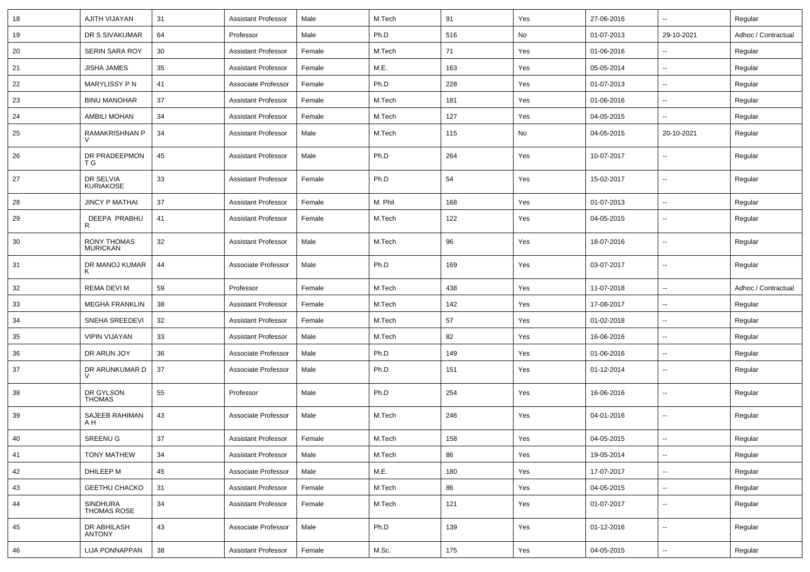| 18 | AJITH VIJAYAN                         | 31 | <b>Assistant Professor</b> | Male   | M.Tech  | 91  | Yes | 27-06-2016 | ÷.                       | Regular             |
|----|---------------------------------------|----|----------------------------|--------|---------|-----|-----|------------|--------------------------|---------------------|
| 19 | DR S SIVAKUMAR                        | 64 | Professor                  | Male   | Ph.D    | 516 | No  | 01-07-2013 | 29-10-2021               | Adhoc / Contractual |
| 20 | <b>SERIN SARA ROY</b>                 | 30 | <b>Assistant Professor</b> | Female | M.Tech  | 71  | Yes | 01-06-2016 | $\overline{\phantom{a}}$ | Regular             |
| 21 | JISHA JAMES                           | 35 | <b>Assistant Professor</b> | Female | M.E.    | 163 | Yes | 05-05-2014 | $\overline{\phantom{a}}$ | Regular             |
| 22 | MARYLISSY P N                         | 41 | Associate Professor        | Female | Ph.D    | 228 | Yes | 01-07-2013 | $\overline{\phantom{a}}$ | Regular             |
| 23 | <b>BINU MANOHAR</b>                   | 37 | <b>Assistant Professor</b> | Female | M.Tech  | 181 | Yes | 01-06-2016 | $\overline{\phantom{a}}$ | Regular             |
| 24 | AMBILI MOHAN                          | 34 | <b>Assistant Professor</b> | Female | M.Tech  | 127 | Yes | 04-05-2015 | $\overline{\phantom{a}}$ | Regular             |
| 25 | RAMAKRISHNAN P                        | 34 | <b>Assistant Professor</b> | Male   | M.Tech  | 115 | No  | 04-05-2015 | 20-10-2021               | Regular             |
| 26 | DR PRADEEPMON<br>T G                  | 45 | <b>Assistant Professor</b> | Male   | Ph.D    | 264 | Yes | 10-07-2017 | $\overline{\phantom{a}}$ | Regular             |
| 27 | DR SELVIA<br><b>KURIAKOSE</b>         | 33 | <b>Assistant Professor</b> | Female | Ph.D    | 54  | Yes | 15-02-2017 | $\sim$                   | Regular             |
| 28 | <b>JINCY P MATHAI</b>                 | 37 | <b>Assistant Professor</b> | Female | M. Phil | 168 | Yes | 01-07-2013 | $\sim$                   | Regular             |
| 29 | DEEPA PRABHU<br>R                     | 41 | <b>Assistant Professor</b> | Female | M.Tech  | 122 | Yes | 04-05-2015 | $\overline{\phantom{a}}$ | Regular             |
| 30 | <b>RONY THOMAS</b><br><b>MURICKAN</b> | 32 | <b>Assistant Professor</b> | Male   | M.Tech  | 96  | Yes | 18-07-2016 | $\overline{\phantom{a}}$ | Regular             |
| 31 | DR MANOJ KUMAR<br>Κ                   | 44 | Associate Professor        | Male   | Ph.D    | 169 | Yes | 03-07-2017 | $\overline{\phantom{a}}$ | Regular             |
| 32 | <b>REMA DEVI M</b>                    | 59 | Professor                  | Female | M.Tech  | 438 | Yes | 11-07-2018 | $\overline{\phantom{a}}$ | Adhoc / Contractual |
| 33 | MEGHA FRANKLIN                        | 38 | <b>Assistant Professor</b> | Female | M.Tech  | 142 | Yes | 17-08-2017 | $\overline{\phantom{a}}$ | Regular             |
| 34 | SNEHA SREEDEVI                        | 32 | <b>Assistant Professor</b> | Female | M.Tech  | 57  | Yes | 01-02-2018 | $\overline{\phantom{a}}$ | Regular             |
| 35 | <b>VIPIN VIJAYAN</b>                  | 33 | <b>Assistant Professor</b> | Male   | M.Tech  | 82  | Yes | 16-06-2016 | $\overline{\phantom{a}}$ | Regular             |
| 36 | DR ARUN JOY                           | 36 | Associate Professor        | Male   | Ph.D    | 149 | Yes | 01-06-2016 | ÷.                       | Regular             |
| 37 | DR ARUNKUMAR D                        | 37 | Associate Professor        | Male   | Ph.D    | 151 | Yes | 01-12-2014 | $\overline{\phantom{a}}$ | Regular             |
| 38 | DR GYLSON<br><b>THOMAS</b>            | 55 | Professor                  | Male   | Ph.D    | 254 | Yes | 16-06-2016 | $\overline{\phantom{a}}$ | Regular             |
| 39 | SAJEEB RAHIMAN<br>A H                 | 43 | Associate Professor        | Male   | M.Tech  | 246 | Yes | 04-01-2016 | $\overline{\phantom{a}}$ | Regular             |
| 40 | SREENU G                              | 37 | Assistant Professor        | Female | M.Tech  | 158 | Yes | 04-05-2015 | $\overline{\phantom{a}}$ | Regular             |
| 41 | <b>TONY MATHEW</b>                    | 34 | <b>Assistant Professor</b> | Male   | M.Tech  | 86  | Yes | 19-05-2014 | $\overline{\phantom{a}}$ | Regular             |
| 42 | DHILEEP M                             | 45 | Associate Professor        | Male   | M.E.    | 180 | Yes | 17-07-2017 | $\overline{\phantom{a}}$ | Regular             |
| 43 | <b>GEETHU CHACKO</b>                  | 31 | <b>Assistant Professor</b> | Female | M.Tech  | 86  | Yes | 04-05-2015 | н,                       | Regular             |
| 44 | SINDHURA<br>THOMAS ROSE               | 34 | <b>Assistant Professor</b> | Female | M.Tech  | 121 | Yes | 01-07-2017 | $\overline{\phantom{a}}$ | Regular             |
| 45 | DR ABHILASH<br>ANTONY                 | 43 | Associate Professor        | Male   | Ph.D    | 139 | Yes | 01-12-2016 | $\overline{\phantom{a}}$ | Regular             |
| 46 | LIJA PONNAPPAN                        | 38 | <b>Assistant Professor</b> | Female | M.Sc.   | 175 | Yes | 04-05-2015 | щ.                       | Regular             |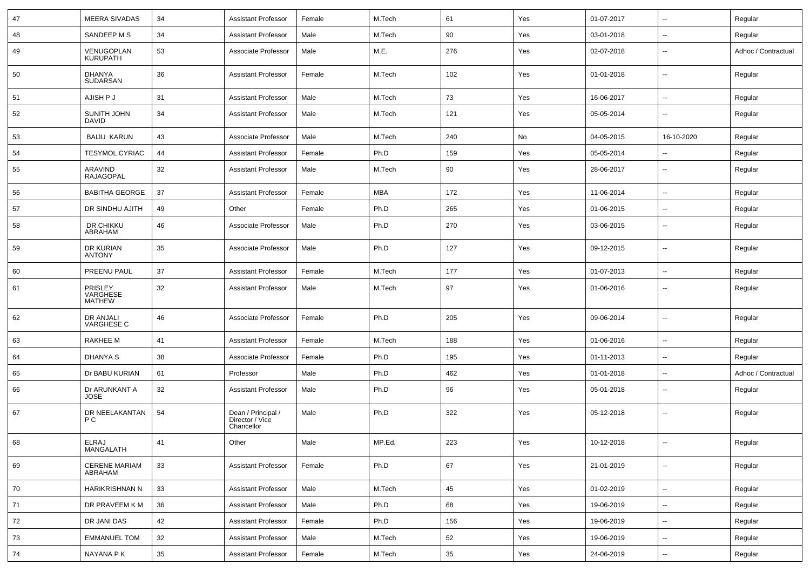| 47 | <b>MEERA SIVADAS</b>                 | 34     | <b>Assistant Professor</b>                          | Female | M.Tech     | 61  | Yes | 01-07-2017 | $\overline{\phantom{a}}$ | Regular             |
|----|--------------------------------------|--------|-----------------------------------------------------|--------|------------|-----|-----|------------|--------------------------|---------------------|
| 48 | SANDEEP M S                          | 34     | <b>Assistant Professor</b>                          | Male   | M.Tech     | 90  | Yes | 03-01-2018 | --                       | Regular             |
| 49 | VENUGOPLAN<br><b>KURUPATH</b>        | 53     | Associate Professor                                 | Male   | M.E.       | 276 | Yes | 02-07-2018 | $\overline{\phantom{a}}$ | Adhoc / Contractual |
| 50 | <b>DHANYA</b><br>SUDARSAN            | 36     | <b>Assistant Professor</b>                          | Female | M.Tech     | 102 | Yes | 01-01-2018 | ⊷.                       | Regular             |
| 51 | AJISH P J                            | 31     | <b>Assistant Professor</b>                          | Male   | M.Tech     | 73  | Yes | 16-06-2017 | ш,                       | Regular             |
| 52 | SUNITH JOHN<br><b>DAVID</b>          | 34     | <b>Assistant Professor</b>                          | Male   | M.Tech     | 121 | Yes | 05-05-2014 | --                       | Regular             |
| 53 | <b>BAIJU KARUN</b>                   | 43     | Associate Professor                                 | Male   | M.Tech     | 240 | No  | 04-05-2015 | 16-10-2020               | Regular             |
| 54 | <b>TESYMOL CYRIAC</b>                | 44     | <b>Assistant Professor</b>                          | Female | Ph.D       | 159 | Yes | 05-05-2014 | --                       | Regular             |
| 55 | ARAVIND<br><b>RAJAGOPAL</b>          | 32     | <b>Assistant Professor</b>                          | Male   | M.Tech     | 90  | Yes | 28-06-2017 | н.                       | Regular             |
| 56 | <b>BABITHA GEORGE</b>                | 37     | <b>Assistant Professor</b>                          | Female | <b>MBA</b> | 172 | Yes | 11-06-2014 | $\sim$                   | Regular             |
| 57 | DR SINDHU AJITH                      | 49     | Other                                               | Female | Ph.D       | 265 | Yes | 01-06-2015 | ⊷.                       | Regular             |
| 58 | DR CHIKKU<br>ABRAHAM                 | 46     | Associate Professor                                 | Male   | Ph.D       | 270 | Yes | 03-06-2015 | н.                       | Regular             |
| 59 | DR KURIAN<br><b>ANTONY</b>           | 35     | Associate Professor                                 | Male   | Ph.D       | 127 | Yes | 09-12-2015 | ⊷.                       | Regular             |
| 60 | PREENU PAUL                          | 37     | <b>Assistant Professor</b>                          | Female | M.Tech     | 177 | Yes | 01-07-2013 | н.                       | Regular             |
| 61 | PRISLEY<br>VARGHESE<br><b>MATHEW</b> | 32     | Assistant Professor                                 | Male   | M.Tech     | 97  | Yes | 01-06-2016 | --                       | Regular             |
| 62 | DR ANJALI<br>VARGHESE C              | 46     | Associate Professor                                 | Female | Ph.D       | 205 | Yes | 09-06-2014 | н.                       | Regular             |
| 63 | <b>RAKHEE M</b>                      | 41     | <b>Assistant Professor</b>                          | Female | M.Tech     | 188 | Yes | 01-06-2016 | н.                       | Regular             |
| 64 | DHANYA S                             | 38     | Associate Professor                                 | Female | Ph.D       | 195 | Yes | 01-11-2013 | -−                       | Regular             |
| 65 | Dr BABU KURIAN                       | 61     | Professor                                           | Male   | Ph.D       | 462 | Yes | 01-01-2018 | $\overline{\phantom{a}}$ | Adhoc / Contractual |
| 66 | Dr ARUNKANT A<br>JOSE                | 32     | <b>Assistant Professor</b>                          | Male   | Ph.D       | 96  | Yes | 05-01-2018 |                          | Regular             |
| 67 | DR NEELAKANTAN<br>P C                | 54     | Dean / Principal /<br>Director / Vice<br>Chancellor | Male   | Ph.D       | 322 | Yes | 05-12-2018 | --                       | Regular             |
| 68 | ELRAJ<br>MANGALATH                   | 41     | Other                                               | Male   | MP.Ed.     | 223 | Yes | 10-12-2018 | $\sim$                   | Regular             |
| 69 | CERENE MARIAM<br>ABRAHAM             | 33     | <b>Assistant Professor</b>                          | Female | Ph.D       | 67  | Yes | 21-01-2019 | $\overline{\phantom{a}}$ | Regular             |
| 70 | HARIKRISHNAN N                       | 33     | <b>Assistant Professor</b>                          | Male   | M.Tech     | 45  | Yes | 01-02-2019 | $\overline{\phantom{a}}$ | Regular             |
| 71 | DR PRAVEEM K M                       | 36     | <b>Assistant Professor</b>                          | Male   | Ph.D       | 68  | Yes | 19-06-2019 | $\overline{\phantom{a}}$ | Regular             |
| 72 | DR JANI DAS                          | 42     | <b>Assistant Professor</b>                          | Female | Ph.D       | 156 | Yes | 19-06-2019 | Щ,                       | Regular             |
| 73 | <b>EMMANUEL TOM</b>                  | 32     | <b>Assistant Professor</b>                          | Male   | M.Tech     | 52  | Yes | 19-06-2019 | Щ,                       | Regular             |
| 74 | NAYANA P K                           | $35\,$ | <b>Assistant Professor</b>                          | Female | M.Tech     | 35  | Yes | 24-06-2019 | $\overline{\phantom{a}}$ | Regular             |